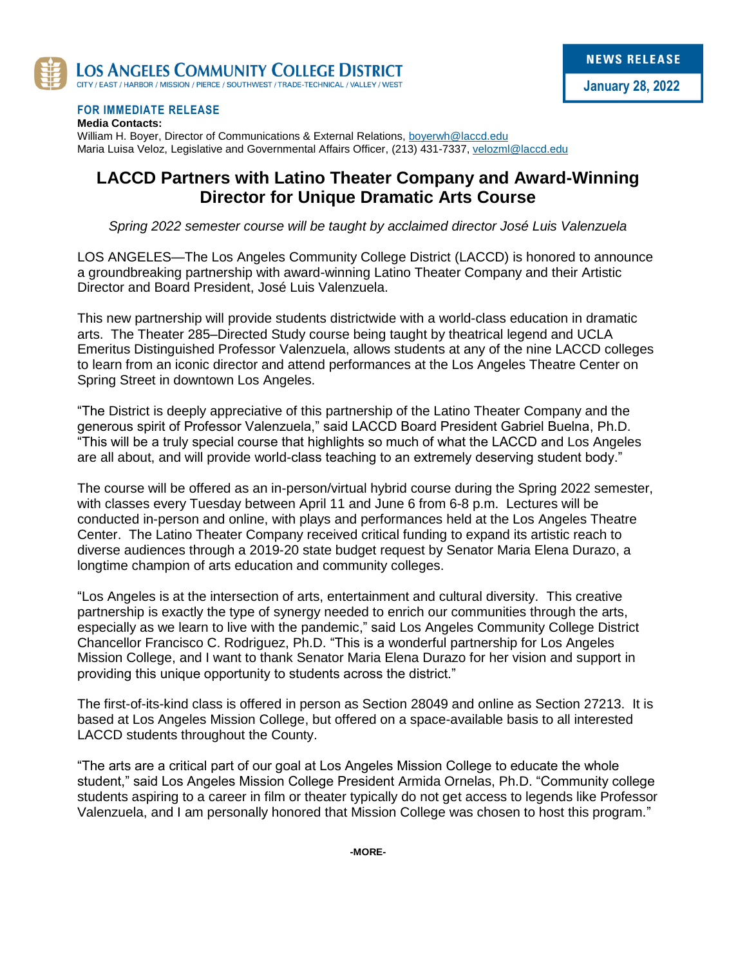

#### **FOR IMMEDIATE RELEASE**

**Media Contacts:** William H. Boyer, Director of Communications & External Relations, [boyerwh@laccd.edu](mailto:boyerwh@laccd.edu) Maria Luisa Veloz, Legislative and Governmental Affairs Officer, (213) 431-7337[, velozml@laccd.edu](mailto:velozml@laccd.edu)

#### **LACCD Partners with Latino Theater Company and Award-Winning Director for Unique Dramatic Arts Course**

*Spring 2022 semester course will be taught by acclaimed director José Luis Valenzuela*

LOS ANGELES—The Los Angeles Community College District (LACCD) is honored to announce a groundbreaking partnership with award-winning Latino Theater Company and their Artistic Director and Board President, José Luis Valenzuela.

This new partnership will provide students districtwide with a world-class education in dramatic arts. The Theater 285–Directed Study course being taught by theatrical legend and UCLA Emeritus Distinguished Professor Valenzuela, allows students at any of the nine LACCD colleges to learn from an iconic director and attend performances at the Los Angeles Theatre Center on Spring Street in downtown Los Angeles.

"The District is deeply appreciative of this partnership of the Latino Theater Company and the generous spirit of Professor Valenzuela," said LACCD Board President Gabriel Buelna, Ph.D. "This will be a truly special course that highlights so much of what the LACCD and Los Angeles are all about, and will provide world-class teaching to an extremely deserving student body."

The course will be offered as an in-person/virtual hybrid course during the Spring 2022 semester, with classes every Tuesday between April 11 and June 6 from 6-8 p.m. Lectures will be conducted in-person and online, with plays and performances held at the Los Angeles Theatre Center. The Latino Theater Company received critical funding to expand its artistic reach to diverse audiences through a 2019-20 state budget request by Senator Maria Elena Durazo, a longtime champion of arts education and community colleges.

"Los Angeles is at the intersection of arts, entertainment and cultural diversity. This creative partnership is exactly the type of synergy needed to enrich our communities through the arts, especially as we learn to live with the pandemic," said Los Angeles Community College District Chancellor Francisco C. Rodriguez, Ph.D. "This is a wonderful partnership for Los Angeles Mission College, and I want to thank Senator Maria Elena Durazo for her vision and support in providing this unique opportunity to students across the district."

The first-of-its-kind class is offered in person as Section 28049 and online as Section 27213. It is based at Los Angeles Mission College, but offered on a space-available basis to all interested LACCD students throughout the County.

"The arts are a critical part of our goal at Los Angeles Mission College to educate the whole student," said Los Angeles Mission College President Armida Ornelas, Ph.D. "Community college students aspiring to a career in film or theater typically do not get access to legends like Professor Valenzuela, and I am personally honored that Mission College was chosen to host this program."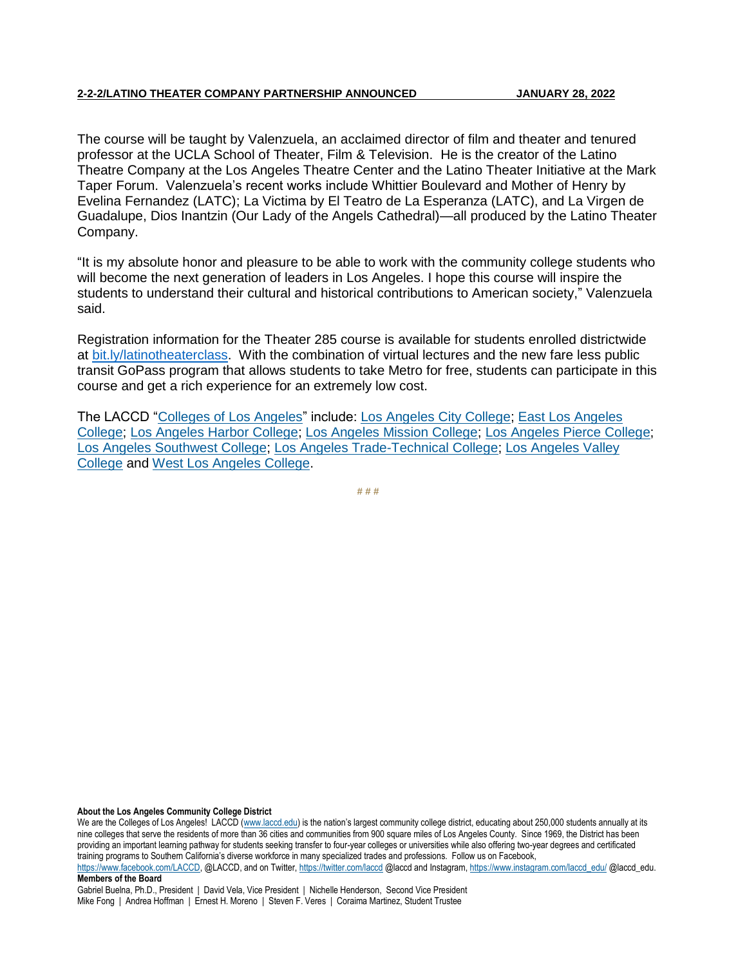The course will be taught by Valenzuela, an acclaimed director of film and theater and tenured professor at the UCLA School of Theater, Film & Television. He is the creator of the Latino Theatre Company at the Los Angeles Theatre Center and the Latino Theater Initiative at the Mark Taper Forum. Valenzuela's recent works include Whittier Boulevard and Mother of Henry by Evelina Fernandez (LATC); La Victima by El Teatro de La Esperanza (LATC), and La Virgen de Guadalupe, Dios Inantzin (Our Lady of the Angels Cathedral)—all produced by the Latino Theater Company.

"It is my absolute honor and pleasure to be able to work with the community college students who will become the next generation of leaders in Los Angeles. I hope this course will inspire the students to understand their cultural and historical contributions to American society," Valenzuela said.

Registration information for the Theater 285 course is available for students enrolled districtwide at [bit.ly/latinotheaterclass.](https://lamission.edu/news/newsitem.aspx?id=580) With the combination of virtual lectures and the new fare less public transit GoPass program that allows students to take Metro for free, students can participate in this course and get a rich experience for an extremely low cost.

The LACCD ["Colleges of Los Angeles"](http://laccd.edu/About/Pages/default.aspx) include: [Los Angeles City College;](https://www.lacitycollege.edu/) [East Los Angeles](https://www.elac.edu/)  [College;](https://www.elac.edu/) [Los Angeles Harbor College;](https://www.lahc.edu/) [Los Angeles Mission College;](http://www.lamission.edu/) [Los Angeles Pierce College;](http://www.piercecollege.edu/) [Los Angeles Southwest College;](https://www.lasc.edu/) [Los Angeles Trade-Technical College;](http://www.lattc.edu/) [Los Angeles Valley](https://www.lavc.edu/)  [College](https://www.lavc.edu/) and [West Los Angeles College.](http://www.wlac.edu/)

**# # #**

**About the Los Angeles Community College District**

We are the Colleges of Los Angeles! LACCD [\(www.laccd.edu](http://www.laccd.edu/)) is the nation's largest community college district, educating about 250,000 students annually at its nine colleges that serve the residents of more than 36 cities and communities from 900 square miles of Los Angeles County. Since 1969, the District has been providing an important learning pathway for students seeking transfer to four-year colleges or universities while also offering two-year degrees and certificated training programs to Southern California's diverse workforce in many specialized trades and professions. Follow us on Facebook,

[https://www.facebook.com/LACCD,](https://www.facebook.com/LACCD) @LACCD, and on Twitter[, https://twitter.com/laccd](https://twitter.com/laccd) @laccd and Instagram[, https://www.instagram.com/laccd\\_edu/](https://www.instagram.com/laccd_edu/) @laccd\_edu. **Members of the Board**

Gabriel Buelna, Ph.D., President | David Vela, Vice President | Nichelle Henderson, Second Vice President Mike Fong | Andrea Hoffman | Ernest H. Moreno | Steven F. Veres | Coraima Martinez, Student Trustee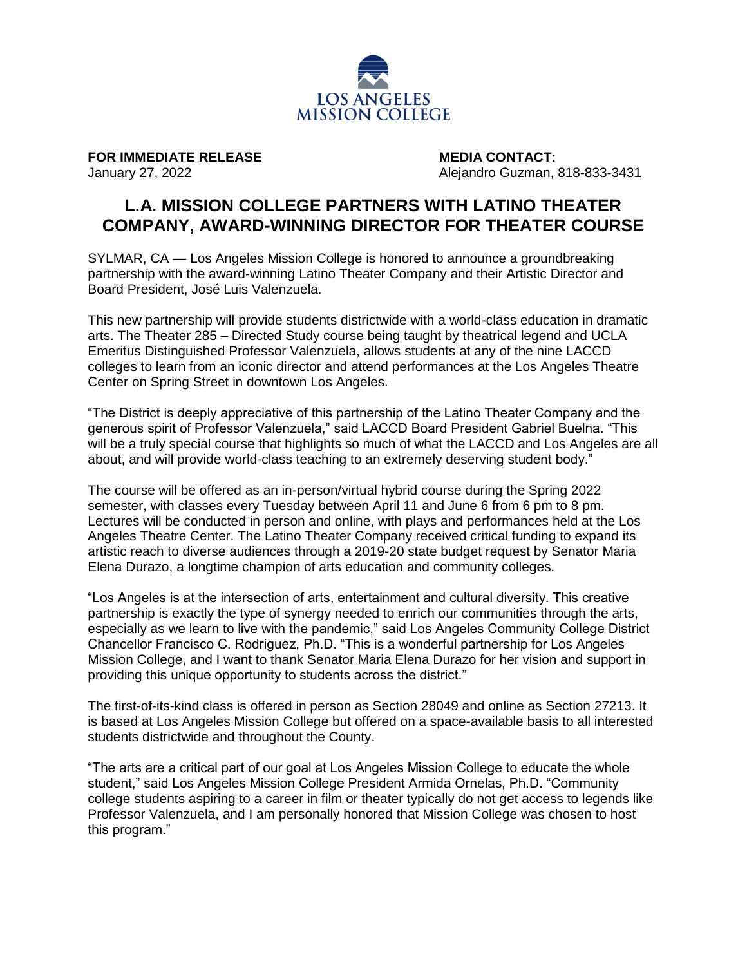

**FOR IMMEDIATE RELEASE MEDIA CONTACT:**

January 27, 2022 Alejandro Guzman, 818-833-3431

### **L.A. MISSION COLLEGE PARTNERS WITH LATINO THEATER COMPANY, AWARD-WINNING DIRECTOR FOR THEATER COURSE**

SYLMAR, CA — Los Angeles Mission College is honored to announce a groundbreaking partnership with the award-winning Latino Theater Company and their Artistic Director and Board President, José Luis Valenzuela.

This new partnership will provide students districtwide with a world-class education in dramatic arts. The Theater 285 – Directed Study course being taught by theatrical legend and UCLA Emeritus Distinguished Professor Valenzuela, allows students at any of the nine LACCD colleges to learn from an iconic director and attend performances at the Los Angeles Theatre Center on Spring Street in downtown Los Angeles.

"The District is deeply appreciative of this partnership of the Latino Theater Company and the generous spirit of Professor Valenzuela," said LACCD Board President Gabriel Buelna. "This will be a truly special course that highlights so much of what the LACCD and Los Angeles are all about, and will provide world-class teaching to an extremely deserving student body."

The course will be offered as an in-person/virtual hybrid course during the Spring 2022 semester, with classes every Tuesday between April 11 and June 6 from 6 pm to 8 pm. Lectures will be conducted in person and online, with plays and performances held at the Los Angeles Theatre Center. The Latino Theater Company received critical funding to expand its artistic reach to diverse audiences through a 2019-20 state budget request by Senator Maria Elena Durazo, a longtime champion of arts education and community colleges.

"Los Angeles is at the intersection of arts, entertainment and cultural diversity. This creative partnership is exactly the type of synergy needed to enrich our communities through the arts, especially as we learn to live with the pandemic," said Los Angeles Community College District Chancellor Francisco C. Rodriguez, Ph.D. "This is a wonderful partnership for Los Angeles Mission College, and I want to thank Senator Maria Elena Durazo for her vision and support in providing this unique opportunity to students across the district."

The first-of-its-kind class is offered in person as Section 28049 and online as Section 27213. It is based at Los Angeles Mission College but offered on a space-available basis to all interested students districtwide and throughout the County.

"The arts are a critical part of our goal at Los Angeles Mission College to educate the whole student," said Los Angeles Mission College President Armida Ornelas, Ph.D. "Community college students aspiring to a career in film or theater typically do not get access to legends like Professor Valenzuela, and I am personally honored that Mission College was chosen to host this program."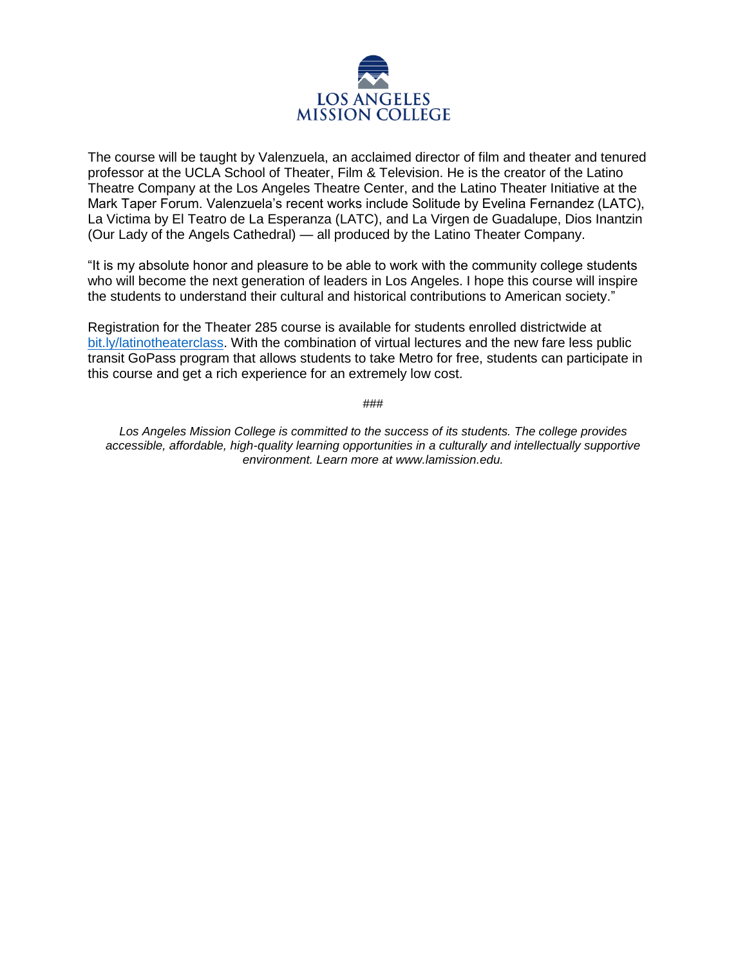

The course will be taught by Valenzuela, an acclaimed director of film and theater and tenured professor at the UCLA School of Theater, Film & Television. He is the creator of the Latino Theatre Company at the Los Angeles Theatre Center, and the Latino Theater Initiative at the Mark Taper Forum. Valenzuela's recent works include Solitude by Evelina Fernandez (LATC), La Victima by El Teatro de La Esperanza (LATC), and La Virgen de Guadalupe, Dios Inantzin (Our Lady of the Angels Cathedral) — all produced by the Latino Theater Company.

"It is my absolute honor and pleasure to be able to work with the community college students who will become the next generation of leaders in Los Angeles. I hope this course will inspire the students to understand their cultural and historical contributions to American society."

Registration for the Theater 285 course is available for students enrolled districtwide at [bit.ly/latinotheaterclass.](https://lamission.edu/news/newsitem.aspx?id=580) With the combination of virtual lectures and the new fare less public transit GoPass program that allows students to take Metro for free, students can participate in this course and get a rich experience for an extremely low cost.

###

*Los Angeles Mission College is committed to the success of its students. The college provides accessible, affordable, high-quality learning opportunities in a culturally and intellectually supportive environment. Learn more at www.lamission.edu.*